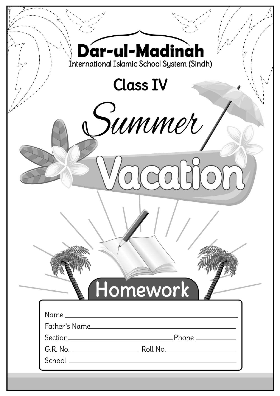| Dar-ul-Madinah<br>International Islamic School System (Sindh) |  |
|---------------------------------------------------------------|--|
| <b>Class IV</b>                                               |  |
| summer                                                        |  |
|                                                               |  |
|                                                               |  |
|                                                               |  |
| Homework                                                      |  |
| Father's Name                                                 |  |
|                                                               |  |
|                                                               |  |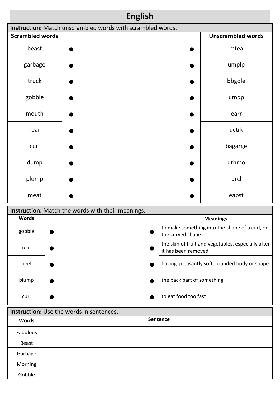| <b>English</b>                           |  |  |                                                            |          |                            |                                                    |
|------------------------------------------|--|--|------------------------------------------------------------|----------|----------------------------|----------------------------------------------------|
|                                          |  |  | Instruction: Match unscrambled words with scrambled words. |          |                            |                                                    |
| <b>Scrambled words</b>                   |  |  |                                                            |          |                            | <b>Unscrambled words</b>                           |
| beast                                    |  |  |                                                            |          |                            | mtea                                               |
| garbage                                  |  |  |                                                            |          |                            | umplp                                              |
| truck                                    |  |  |                                                            |          |                            | bbgole                                             |
| gobble                                   |  |  |                                                            |          |                            | umdp                                               |
| mouth                                    |  |  |                                                            |          |                            | earr                                               |
| rear                                     |  |  |                                                            |          |                            | uctrk                                              |
| curl                                     |  |  |                                                            |          |                            | bagarge                                            |
| dump                                     |  |  |                                                            |          |                            | uthmo                                              |
| plump                                    |  |  |                                                            |          |                            | urcl                                               |
| meat                                     |  |  |                                                            |          |                            | eabst                                              |
|                                          |  |  | Instruction: Match the words with their meanings.          |          |                            |                                                    |
| <b>Words</b>                             |  |  |                                                            |          |                            | <b>Meanings</b>                                    |
| gobble                                   |  |  |                                                            |          | the curved shape           | to make something into the shape of a curl, or     |
| rear                                     |  |  |                                                            |          | it has been removed        | the skin of fruit and vegetables, especially after |
| peel                                     |  |  |                                                            |          |                            | having pleasantly soft, rounded body or shape      |
| plump                                    |  |  |                                                            |          | the back part of something |                                                    |
| curl                                     |  |  |                                                            |          | to eat food too fast       |                                                    |
| Instruction: Use the words in sentences. |  |  |                                                            |          |                            |                                                    |
| $M = -1$                                 |  |  |                                                            | Sentence |                            |                                                    |

| <b>Words</b> | Sentence |
|--------------|----------|
| Fabulous     |          |
| Beast        |          |
| Garbage      |          |
| Morning      |          |
| Gobble       |          |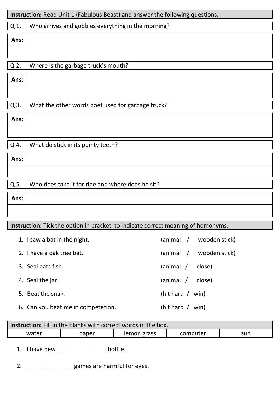|      | Instruction: Read Unit 1 (Fabulous Beast) and answer the following questions. |
|------|-------------------------------------------------------------------------------|
| Q 1. | Who arrives and gobbles everything in the morning?                            |
| Ans: |                                                                               |
|      |                                                                               |
| Q 2. | Where is the garbage truck's mouth?                                           |
| Ans: |                                                                               |
|      |                                                                               |
| Q 3. | What the other words poet used for garbage truck?                             |
| Ans: |                                                                               |
|      |                                                                               |
| Q 4. | What do stick in its pointy teeth?                                            |
| Ans: |                                                                               |
|      |                                                                               |
| Q 5. | Who does take it for ride and where does he sit?                              |
| Ans: |                                                                               |
|      |                                                                               |
|      |                                                                               |

## **Instruction:** Tick the option in bracket to indicate correct meaning of homonyms.

| 1. I saw a bat in the night.       | (animal / wooden stick) |
|------------------------------------|-------------------------|
| 2. I have a oak tree bat.          | (animal / wooden stick) |
| 3. Seal eats fish.                 | (animal /<br>close)     |
| 4. Seal the jar.                   | (animal /<br>close)     |
| 5. Beat the snak.                  | (hit hard $/$ win)      |
| 6. Can you beat me in competetion. | (hit hard $/$<br>win)   |

| <b>Instruction:</b> Fill in the blanks with correct words in the box. |       |             |          |     |  |  |  |
|-----------------------------------------------------------------------|-------|-------------|----------|-----|--|--|--|
| water                                                                 | paper | lemon grass | computer | sun |  |  |  |

1. I have new \_\_\_\_\_\_\_\_\_\_\_\_\_\_\_\_\_\_\_ bottle.

2. \_\_\_\_\_\_\_\_\_\_\_\_\_\_\_\_\_\_ games are harmful for eyes.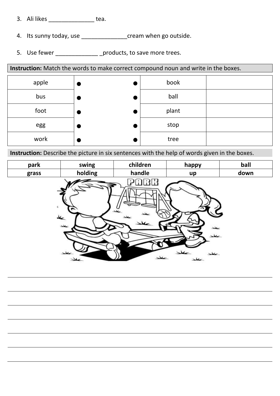- 3. Ali likes \_\_\_\_\_\_\_\_\_\_\_\_\_\_ tea.
- 4. Its sunny today, use \_\_\_\_\_\_\_\_\_\_\_\_\_\_\_\_\_\_\_\_\_\_\_cream when go outside.
- 5. Use fewer \_\_\_\_\_\_\_\_\_\_\_\_\_\_\_\_\_ \_products, to save more trees.

**Instruction:** Match the words to make correct compound noun and write in the boxes. apple  $\left| \bullet \right|$  book bus  $\begin{vmatrix} \bullet & \bullet & \bullet \end{vmatrix}$  ball foot  $\begin{array}{|c|c|c|c|}\n\hline\n\end{array}$   $\bullet$   $\begin{array}{|c|c|c|}\n\hline\n\end{array}$  plant egg stop work  $\begin{vmatrix} \bullet & \cdot & \cdot & \bullet \end{vmatrix}$  tree

**Instruction:** Describe the picture in six sentences with the help of words given in the boxes.

| park  | swing             | children | happy                       | ball |
|-------|-------------------|----------|-----------------------------|------|
| grass | holding           | handle   | up                          | down |
| C)    | عد<br>حطد<br>سعلد | 36       | ىمل<br>سمعد<br>سملا<br>سملد |      |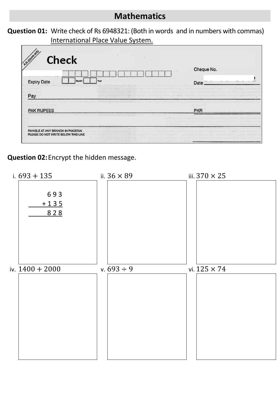## **Mathematics**

**Question 01:** Write check of Rs 6948321: (Both in words and in numbers with commas) International Place Value System.

| <b>Check</b><br>Your<br><b>Expiry Date</b><br>Mont | Cheque No.<br>Date |  |
|----------------------------------------------------|--------------------|--|
| Pay<br><b>PAK RUPEES</b>                           | <b>PKR</b>         |  |
|                                                    |                    |  |

**Question 02:**Encrypt the hidden message.

| i. $693 + 135$       | ii. $36 \times 89$ | iii. $370 \times 25$ |
|----------------------|--------------------|----------------------|
| 693<br>$+135$<br>828 |                    |                      |
| iv. $1400 + 2000$    | v. $693 \div 9$    | vi. $125 \times 74$  |
|                      |                    |                      |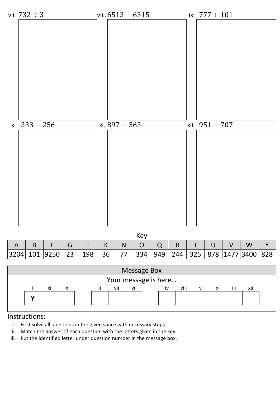

#### Instructions:

- i. First solve all questions in the given space with necessary steps.
- ii. Match the answer of each question with the letters given in the key.
- iii. Put the identified letter under question number in the message box.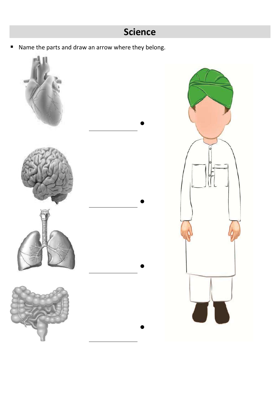■ Name the parts and draw an arrow where they belong.

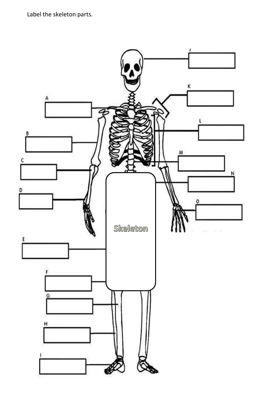Label the skeleton parts.

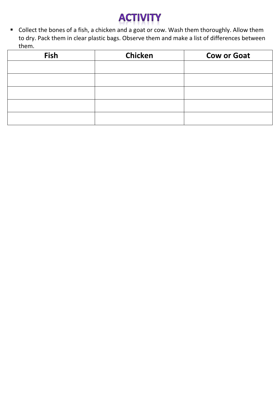

 Collect the bones of a fish, a chicken and a goat or cow. Wash them thoroughly. Allow them to dry. Pack them in clear plastic bags. Observe them and make a list of differences between them.

| <b>Fish</b> | <b>Chicken</b> | <b>Cow or Goat</b> |
|-------------|----------------|--------------------|
|             |                |                    |
|             |                |                    |
|             |                |                    |
|             |                |                    |
|             |                |                    |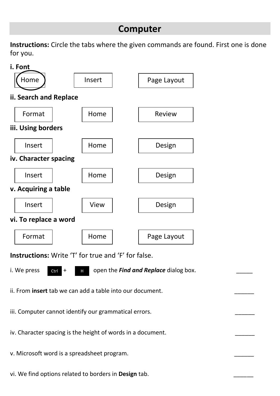## **Computer**

**Instructions:** Circle the tabs where the given commands are found. First one is done for you.



v. Microsoft word is a spreadsheet program.

vi. We find options related to borders in Design tab.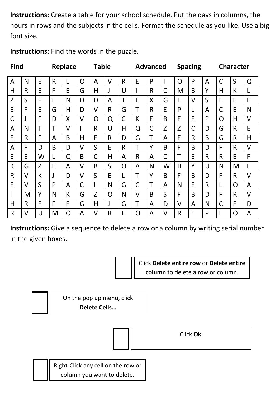**Instructions:** Create a table for your school schedule. Put the days in columns, the hours in rows and the subjects in the cells. Format the schedule as you like. Use a big font size.

| <b>Find</b>  |              |   |              | Replace |                | <b>Table</b> |              |                |              | <b>Advanced</b> |        |        | <b>Spacing</b> |                |              | <b>Character</b> |        |
|--------------|--------------|---|--------------|---------|----------------|--------------|--------------|----------------|--------------|-----------------|--------|--------|----------------|----------------|--------------|------------------|--------|
| $\mathsf{A}$ | N            | E | $\mathsf{R}$ |         | $\overline{O}$ | A            | V            | $\mathsf{R}$   | E            | P               |        | O      | P              | $\overline{A}$ | $\mathsf{C}$ | S                | Q      |
| H            | $\mathsf{R}$ | E | F            | E       | G              | H            | J            | U              |              | $\mathsf{R}$    | C      | M      | B              | Y              | H            | K                | L      |
| Z            | $\mathsf S$  | F |              | N       | D              | D            | A            | T              | E            | X               | G      | E      | V              | S              | L            | E                | E      |
| E            | F            | E | G            | H       | D              | $\vee$       | $\mathsf{R}$ | G              | T            | $\mathsf{R}$    | E      | P      | L              | A              | $\mathsf C$  | E                | N      |
| $\mathsf C$  | J            | F | D            | X       | $\vee$         | O            | Q            | $\mathsf C$    | K            | E               | B      | E      | E              | P              | O            | H                | $\vee$ |
| A            | N            | T | Τ            | V       |                | R            | U            | H              | Q            | $\mathsf C$     | Z      | Z      | C              | D              | G            | $\mathsf{R}$     | E      |
| E            | $\mathsf{R}$ | F | A            | B       | H              | E            | R            | D              | G            | $\mathsf T$     | A      | E      | $\mathsf{R}$   | B              | G            | $\mathsf{R}$     | H      |
| A            | F            | D | B            | D       | V              | S            | E            | $\mathsf{R}$   | T            | Y               | B      | F      | B              | D              | F            | R                | $\vee$ |
| E            | E            | W | L            | Q       | B              | $\mathsf C$  | Η            | A              | $\mathsf{R}$ | A               | C      | Τ      | E              | $\mathsf{R}$   | $\mathsf{R}$ | E                | F      |
| К            | G            | Z | E            | A       | V              | B            | S            | $\overline{O}$ | A            | N               | W      | B      | Y              | U              | N            | M                |        |
| $\mathsf{R}$ | V            | К | J            | D       | V              | S            | E            | L              | T            | Y               | B      | F      | B              | D              | F            | $\mathsf{R}$     | $\vee$ |
| E            | V            | S | P            | A       | $\mathsf C$    |              | N            | G              | $\mathsf C$  | T               | A      | N      | E              | $\mathsf{R}$   | L            | $\overline{O}$   | A      |
|              | M            | Y | N            | К       | G              | Z            | O            | N              | $\vee$       | B               | S      | F      | B              | D              | F            | $\mathsf{R}$     | $\vee$ |
| Η            | $\mathsf{R}$ | E | F            | E       | G              | Η            | J            | G              | Τ            | $\overline{A}$  | D      | $\vee$ | A              | N              | $\mathsf C$  | E                | D      |
| $\mathsf{R}$ | V            | U | M            | 0       | A              | V            | R            | E              | O            | A               | $\vee$ | R      | E              | P              |              | O                | A      |

**Instructions:** Find the words in the puzzle.

**Instructions:** Give a sequence to delete a row or a column by writing serial number in the given boxes.



Click **Delete entire row** or **Delete entire column** to delete a row or column.

On the pop up menu, click **Delete Cells…**

Click **Ok**.

Right-Click any cell on the row or column you want to delete.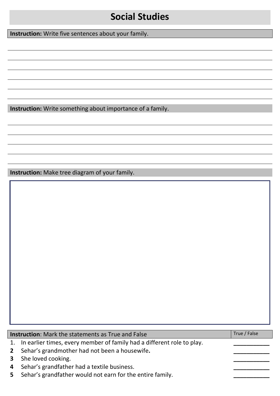# **Social Studies**

**Instruction:** Write five sentences about your family.

**Instruction:** Write something about importance of a family.

**Instruction:** Make tree diagram of your family.

**Instruction**: Mark the statements as True and False True True **True / False** True / False

- 1. In earlier times, every member of family had a different role to play.
- **2** Sehar's grandmother had not been a housewife**. \_\_\_\_\_\_\_\_\_\_\_**
- **3** She loved cooking.
- **4** Sehar's grandfather had a textile business. **\_\_\_\_\_\_\_\_\_\_\_**
- **5** Sehar's grandfather would not earn for the entire family.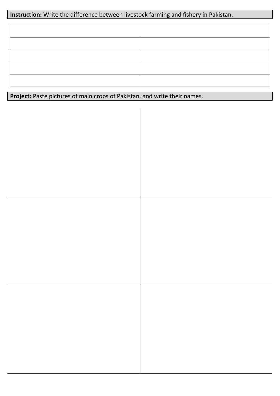### **Instruction:** Write the difference between livestock farming and fishery in Pakistan.

Project: Paste pictures of main crops of Pakistan, and write their names.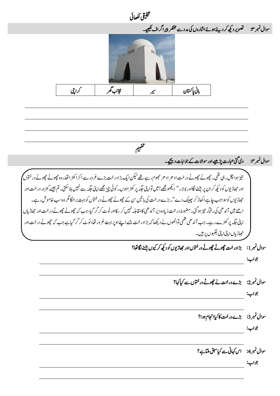یقیلخت اھکلیئ ہوئے اشاروں کی مدد سے محتقر پیرا کراف لکھیے۔ مسلسلہ دمد کا استعمال کرنے کے اس کے اس کے اس کے اس کے اس کے اس کے ے سوال نمبر ۳: سیستمبر دیکھ کر دیئے ہوئےاشاروں کی مددسے محتقر پیرا کراف لکھیے۔ l ابی اپاتستان | پاتسکن راکش راپیم رکایتی | کرایچی | میں راکش رکایتی | میں رکایتی | میں رکایتی اپانستان رکایتی ا میہفت سوال نمبر ۴: دی گئی عبارت پڑھیے اور سوالات کے جوابات دیکھیے۔ تیز ہوا چل رہی تھی۔ چچوٹے چچوٹے در خت اد ھر اد ھر حجھوم رہے تھے لیکن ایک بڑادر خت بڑے غرور سے اکڑ اکھڑ اتھا۔وہ چچوٹے چچوٹے در ختوں اور حہاڑیوں کو دیکھ کر ان پر بیننے لگااور بولا۔'' دیکھو مجھے!میں تواپنی جگہ یہ دوں۔ کوئی چیز مجھے اینی جگہیں ہگ سکت تم جیسے کمزور درخت اور حجاڑیوں کوہواجب جاہے اکھاڑ کر پچینک دے''۔بڑے درخت کی ہاتیں س کے چچوٹے چچوٹے درختوں کوبہت بر الگا مگر وہ سب خاموش رہے۔ اہنے میں آندھی کی رفمار تیز ہو گئی۔مضبوط درخت زیادہ دیر آندھی کامقابلہ نہیں کر سکااور ٹوٹ کر گرگیا،جب کہ چچوٹے درخت اور حھاڑیاں ایٹی جگہ یر کھڑے رہے۔ جب آندھی تھمی توانھوں نے دیکھا کہ بڑادرخت جسے اپنے اوپر بہت غرور تھا،ٹوٹ کر گر گیاہے جب کہ چچوٹے درخت اور حہاڑیاں اپنی اپنی جگہوں پر ہیں۔ í سوال نمبر 1: پڑادر خت چھوٹے چھوٹے درختوں اور حھاڑیوں کو دیکھ کر کیوں بنننے لگا تھا؟ وجاب: سوال نمبر 2: پڑے درخت نے چھوٹے درختوں سے کیاکہا؟ وجاب: سوال نمبر 3: یڑے درخت کا کیاانجام ہوا؟ وجاب: سوال نمبر4: اس کہانی سے کیاسبق ملتاہ؟ وجاب: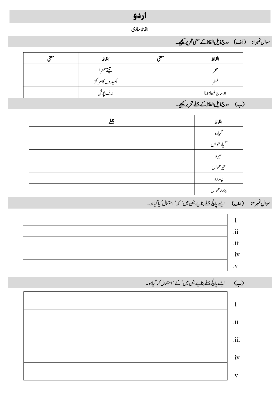# اردو

#### الفاظ سازی

## سوال نمبرا: (الف) درج ذیل الفاظ کے معنی تحریر <u>ح</u>یجیے۔

| معه | الفاظ          | محه | الفاظ                                                                                                                                   |
|-----|----------------|-----|-----------------------------------------------------------------------------------------------------------------------------------------|
|     | ندمص           |     |                                                                                                                                         |
|     | أميدوں كامر كز |     | LS.                                                                                                                                     |
|     | برف یوش        |     | اوسان خطاہونا                                                                                                                           |
|     |                |     | $\zeta$ $\zeta$ $\zeta$ $\zeta$ $\zeta$ $\zeta$ $\zeta$ $\zeta$ $\zeta$ $\zeta$ $\zeta$ $\zeta$ $\zeta$ $\zeta$ $\zeta$ $\zeta$ $\zeta$ |

### )ب( درج ذلی اافلظ ےکےلمجرحتری ےیجیک۔

| 还 | الفاظ          |
|---|----------------|
|   | بياره          |
|   | ح<br>گیار حوال |
|   | $\vec{c}$      |
|   | تير ھواں       |
|   | پندره          |
|   | پندر ھواں      |

## سو**ال نمبر ٢: (الف)** ایسے پانچ جملے بنایے جن میں ' کہ ' استعال کیا گیاہو۔





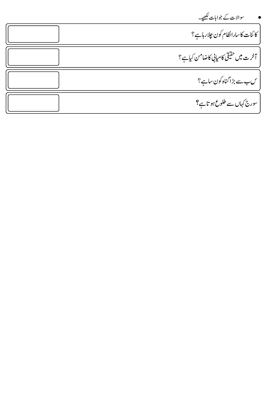| سوالات کے جوابات لکھیے۔              |
|--------------------------------------|
| كائنات كاسارانظام كون جلار ہاہے؟     |
| آخرت میں حقیقی کامیابی کاضامن کیاہے؟ |
| س-سے بڑاگناہ کون ساہے؟               |
| سورج کہاں سے طلوع ہو تاہے؟           |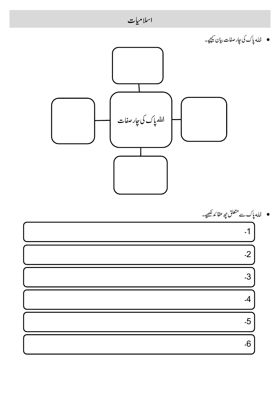

6۔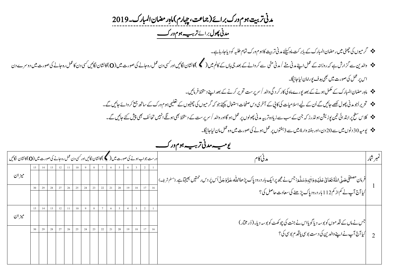مدنی تربیت ہوم ورک برائے(جماعت، چہارم) ماہِر مضان المبارک۔2019  *دمین وھپل* رباےئ *رہیب وہم ورک ت* 

- رگویمں یک یٹھچ ںیم راضمن اابملرک ےک اب ربتک امہ ےئلیک دمین رتتیب اک وہم ورک امتم ہبلط وک دای اج راہ ےہ ۔
- وادلنی ےس زگارش ےہ ہک روزاہن ےک لمع اےنپ دمین ےّنم/دمین یّنم ےسرکواےنےک دعب یج اہں ےک اکمل ںیم) (اک اشنن اگلںیئ اور یسک دن لمع رہ اجےن یک وصرت ںیم )O)اک اشنن اگلںیئ یسک دن اک لمع رہ اجےن یک وصرت ںیم دورسے دن اس پر عمل کی صورت میں بھی ہدف پورامان لیاجائیگا۔
	- امہِراضمناابملرکےکلمکم وہےن ےک دعب وپرے امہ یک اکررکدیگ وادل/رسرپتس رحتری رکےن ےک دعب اےنپ دطختس رفامںیئ ۔
	- حجویر اُجو مدنی پھول <u>لکھ</u>ے جائیں گے اُن کے لیے اسلامیات کی کاپی کے آخری دس صفحات استعمال کیجئے جو کہ کچھیلوں کے لتکھی جو رک کے ساتھ جمع کر وائے جائیں گے۔
	- الکس حطس رپ ادتبایئ نیت وپزنشی وہڈلرزہک نج ےک بس ےس زایدہ رتہیب دمین وھپولں رپ لمع وہاگ اور وادل/رسرپتس ےک دطختس یھب وہےگناںیہن احتفئ یھب شیپ ےئک اجںیئ ےگ۔
		- ویہیم 01دونں ںیم ےس 91دن ، اور ہتفہ وار 4ںیم ےس 0وتفہں رپ لمع وہےن یک وصرت ںیم وہ لمع امن ایل اجاگیئ۔

| درست جواب ہونے کی صورت میں ( کمک کانشان لگائیں اور کسی دن عمل رہ جانے کی صورت میں (O) کانشان  لگائیں |    |    |    |    |    |    |    |    |    |    |    |    |    |    | مدني كام                                                                                                                                                                                                                       | نمبر شار |
|------------------------------------------------------------------------------------------------------|----|----|----|----|----|----|----|----|----|----|----|----|----|----|--------------------------------------------------------------------------------------------------------------------------------------------------------------------------------------------------------------------------------|----------|
| ميزان                                                                                                |    |    |    |    |    |    |    |    |    |    |    |    |    |    |                                                                                                                                                                                                                                |          |
|                                                                                                      | 29 | 28 | 27 | 26 | 25 | 24 | 23 | 22 | 21 | 20 | 19 | 18 |    | 16 | فرمان مصطفى صَلّ \ملّهُ تعَالىٰ عَلَيۡهِ وَاٰلِهٖوَ سَلَّۃَ:جس نے مجھ پرایک ہار درود پاک پڑھا\ملّٰہ عَذَّوَجَلَّ اُس پَردس حمتیں بھیجٓاہے .(ملم شریف)  <br> <br> کیا آج آپ نے کم از کم112 بار درود پاک پڑھنے کی سعادت حاصل کی؟ |          |
|                                                                                                      |    |    |    |    |    |    |    |    |    |    |    |    |    |    |                                                                                                                                                                                                                                |          |
| ميز ان                                                                                               |    |    |    |    |    |    |    |    |    |    |    |    |    |    | جس نے ماں کے قد موں کو بوسہ دیا گویااس نے جنت کی چوکھٹ کو بوسہ دیا۔(وُر مختار)                                                                                                                                                 |          |
|                                                                                                      | 29 | 28 | 27 | 26 | 25 | 24 | 23 | 22 | 21 | 20 | 19 | 18 | 17 | 16 | <br>  کیا آج آپ نے اپنے والدین کی دست بوسی یاقد م بوسی کی ؟                                                                                                                                                                    |          |
|                                                                                                      |    |    |    |    |    |    |    |    |    |    |    |    |    |    |                                                                                                                                                                                                                                |          |

*رہیب وہم و ویہیم دمین ت رک*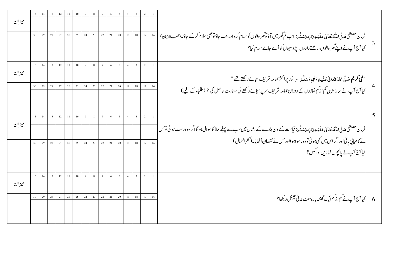|       | 15 | 14 | 13     | 12 | 11     | $10\,$ |    |             |                 | 6      |                |    |                |                |        |                                                                                                                                                                               |  |
|-------|----|----|--------|----|--------|--------|----|-------------|-----------------|--------|----------------|----|----------------|----------------|--------|-------------------------------------------------------------------------------------------------------------------------------------------------------------------------------|--|
| ميزان |    |    |        |    |        |        |    |             |                 |        |                |    |                |                |        |                                                                                                                                                                               |  |
|       | 30 | 29 | 28     | 27 | 26     | 25     | 24 | 23          | 22              | 21     | $20\,$         | 19 | $1\,8$         | $17\,$         | $16\,$ | .<br>فرمان مصطفى صَلَّى اللَّهُ تَعَانى عَلَيْهِ وَأٰلِهِ وَسَلَّمَ: جب تم <i>گھر میں آؤتوگھر د</i> الوں کوسلام کر واور جب حاؤتر میں اسلام کرکے حاؤ۔(شعبالا <sup>ی</sup> مان) |  |
|       |    |    |        |    |        |        |    |             |                 |        |                |    |                |                |        | <br> کیا آج آپ نے اپنے گھر والوں،ر شتے داروں، پڑوسیوں کو آتے جاتے سلام کیا؟                                                                                                   |  |
|       | 15 | 14 |        | 12 | 11     | $10\,$ |    |             |                 |        | 5              |    |                |                |        |                                                                                                                                                                               |  |
| ميزان |    |    |        |    |        |        |    |             |                 |        |                |    |                |                |        | <b>" نبى كريم صَلَّى\مَلْهُ تَعَالىٰ عَلَيْهِ وَاٰلِهِ وَسَلَّعَ سرِ انور پراكثر عمامه شريف سجائےركھتے تھ</b> "                                                               |  |
|       | 30 | 29 | 28     | 27 | 26     | 25     | 24 | 23          | 22              | 21     | $20\,$         | 19 | 18             | 17             | 16     |                                                                                                                                                                               |  |
|       |    |    |        |    |        |        |    |             |                 |        |                |    |                |                |        | کیا آج آپ نے سارادن یا کم از کم نمازوں کے دوران عمامہ شریف سر پہ سجائے رکھنے کی سعادت حاصل کی ؟ (طلباءکے لیے)                                                                 |  |
|       | 15 | 14 | 13     | 12 |        | 10     |    |             |                 |        |                |    |                |                |        |                                                                                                                                                                               |  |
| ميزان |    |    |        |    |        |        |    |             |                 |        |                |    |                |                |        | فرمان مصطفٰی صَلَّی <sub>ْ</sub> اللّٰہُ تَعَانٰی عَلَیۡ یِوَاٰنِہٖوَسَلَّہَ: قیامت کے دن بندے کے اعمال میں سب سے پہلے نماز کاسوال ہو گااگر وہ درست ہوئی تواُس <mark>ٰ</mark> |  |
|       |    | 29 | 28     | 27 | $26\,$ | $25\,$ | 24 | $23\,$      | 22              | $21\,$ | $20\,$         | 19 | 18             | $17\,$         | 16     | نے کامیابی پائی اور اگر اس میں کمی ہوئی تووہ رسواہو ااور اُس نے نقصان اُٹھایا۔(کنز العمال )                                                                                   |  |
|       |    |    |        |    |        |        |    |             |                 |        |                |    |                |                |        | کیا آج آپ نے پانچوں نمازیں اداکیں؟                                                                                                                                            |  |
|       | 15 | 14 | 13     | 12 | 11     | 10     | 9  | $\,$ 8 $\,$ | $7\overline{ }$ | 6      | 5 <sup>5</sup> | 4  | 3 <sup>7</sup> | $\overline{2}$ |        |                                                                                                                                                                               |  |
| ميزان |    |    |        |    |        |        |    |             |                 |        |                |    |                |                |        |                                                                                                                                                                               |  |
|       |    | 29 | $28\,$ | 27 | $26\,$ | $25\,$ | 24 | $23\,$      | 22              | $21\,$ | $20\,$         | 19 | $1\,8$         | $17\,$         | $16\,$ | <br> کیا آج آپ نے کم از کم ایک گھنٹہ بارہ منٹ مدنی چینل دیکھا؟                                                                                                                |  |
|       |    |    |        |    |        |        |    |             |                 |        |                |    |                |                |        |                                                                                                                                                                               |  |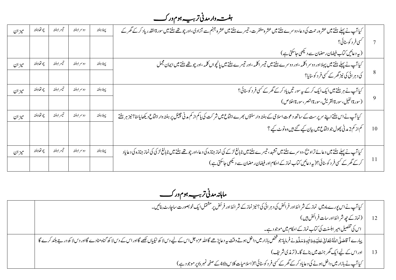*ترہیب وہم ورک ہتفہ ومر دمین* 

| ميز ان | چو تھاہفتہ | تيسراهفته | دوسراهفته | پہلاہفتہ | کیا آپ نے پہلے ہفتے میں عشرہ رحمت کی دعا، دوسرے ہفتے میں عشرہ مغفرت، تیسرے ہفتے میں عشرہ جہنم سے آزادی،اور چو تھے ہفتے میں سورۃالقدر یاد کرکے گھر کے                                                                                        |         |
|--------|------------|-----------|-----------|----------|---------------------------------------------------------------------------------------------------------------------------------------------------------------------------------------------------------------------------------------------|---------|
|        |            |           |           |          | گسي فر د کوسنائي؟                                                                                                                                                                                                                           |         |
|        |            |           |           |          | (په دعائیں کتاب فیضان ر مضان سے دیکھی جاسکتی ہے )                                                                                                                                                                                           |         |
| ميز ان | چو تھاہفتہ | تيسراهفته | دوسراهفته | يہلاہفته | کیا آپ نے پہلے ہفتے میں پہلااور دوسر اکلمہ ،اور دوسرے ہفتے میں تیسر اکلمہ ،اور تیسرے ہفتے میں پانچواں کلمہ ،اور چوتھے ہفتے میں ایمان مجمل                                                                                                   |         |
|        |            |           |           |          | کی د ہر ائی کی نیز گھر کے کسی فر د کوسنایا؟                                                                                                                                                                                                 |         |
| ميز ان | چو تھاہفتہ | تيسراهفته | دوسراهفته | يہلاہفته | کیا آپ نے ہر ہفتے میں ایک ایک کرکے پیرسور تیں یاد کرکے گھر کے کسی فر دکوسنائی؟                                                                                                                                                              |         |
|        |            |           |           |          | (سورة الفيل،سورة القريش،سورة النصر ،سورة اخلاص)                                                                                                                                                                                             |         |
| ميز ان | چو تھاہفتہ | تيسراهفته | دوسراهفته | پہلاہفتہ | کیا آپ نے اس ہفتے اپنے سرپرست کے ساتھ دعوت اسلامی کے ہفتہ وارسنتوں <i>بھرے اجتماع میں شر</i> کت کی یاکم از کم مدنی چینل پر ہفتہ وار اجتماع دیکھا یاعنا؟ نیز ہر ہفتے                                                                         |         |
|        |            |           |           |          | کم از کم2 مدنی پھول جو اجتماع میں بیان کیے گئے ہیں وہ نوٹ کیے ؟                                                                                                                                                                             | 10      |
| ميز ان | چو تھاہفتہ | تيسراهفته | دوسراهفته | پہلاہفتہ | کیا آپ نے پہلے ہفتے میں دعائے تراویج، دوسرے ہفتے میں تشہد، تنیسرے ہفتے میں نابالغ <sup>ے لڑ</sup> ے کی نماز جنازہ کی میں تعالی<br>کیا آپ نے پہلے ہفتے میں دعائے تراویج، دوسرے ہفتے میں تشہد، تنیسرے ہفتے میں نابالغ لڑکے کی نماز دیکھ دیا ج |         |
|        |            |           |           |          | کرکے گھر کے کسی فر د کو سنائی؟( یہ دعائیں کتاب نماز کے احکام اور فیضان ر مضان سے دلیکھی جاسکتی ہے )                                                                                                                                         | $\perp$ |

 *اماہہندمین رہیب وہم ورک*  تر <sub>ت</sub>ے ہوم ور کے

| کیا آپ نے اس پورے ماہ میں   نماز کے شر ائط اور فرائض کی دہر ائی کی؟ نیز نماز کے شر ائط اور فرئض پر مشتمل ایک خو بصورت ساچارٹ بنائیں۔                                                             |  |
|--------------------------------------------------------------------------------------------------------------------------------------------------------------------------------------------------|--|
| _12 _   (نماز کے چھ شر ائطاور سات فرائض ہیں )                                                                                                                                                    |  |
| اس کی تفصیل امیر اہلسنت کی کتاب نماز کے احکام میں موجو دہے۔                                                                                                                                      |  |
| پیارے آ قاصَدًى املّٰہُ تَعَانی عَلَیۡدِوَاٰلِہٖوَسَلَّہَ۔نے فرمایا:جوشخص بازار میں داخل ہو ۔توسیح کااللہ عزوجل اس کے لیے دسالہ کے اور اس کے دس لا کھ گناہ مٹادے گااور دس لا کھ درجے بلند کرے گا |  |
| اوراس کے لیے ایک گھر جنت میں بنائے گا۔(ترمذی شریف)                                                                                                                                               |  |
| کیا آپ نے بازار میں داخل ہونے کی دعایاد کرکے گھر کے کسی فر د کوسنائی؟(اسلامیات کلاس4th کے صفحہ نمبر 6 پر موجو دہے)                                                                               |  |